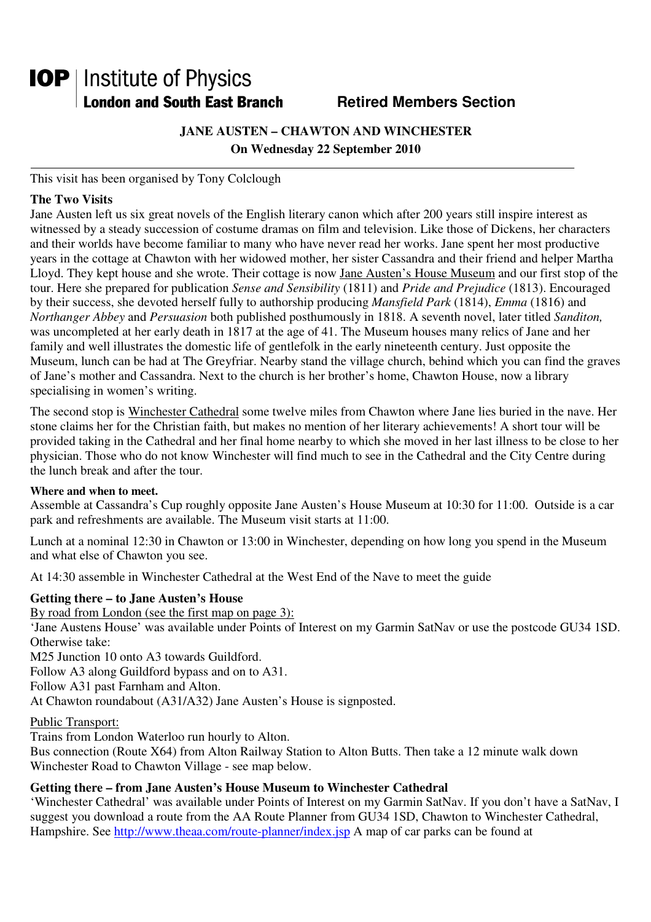# **IOP** | Institute of Physics **London and South East Branch Famely Retired Members Section**

# **JANE AUSTEN – CHAWTON AND WINCHESTER On Wednesday 22 September 2010**

This visit has been organised by Tony Colclough

# **The Two Visits**

Jane Austen left us six great novels of the English literary canon which after 200 years still inspire interest as witnessed by a steady succession of costume dramas on film and television. Like those of Dickens, her characters and their worlds have become familiar to many who have never read her works. Jane spent her most productive years in the cottage at Chawton with her widowed mother, her sister Cassandra and their friend and helper Martha Lloyd. They kept house and she wrote. Their cottage is now Jane Austen's House Museum and our first stop of the tour. Here she prepared for publication *Sense and Sensibility* (1811) and *Pride and Prejudice* (1813). Encouraged by their success, she devoted herself fully to authorship producing *Mansfield Park* (1814), *Emma* (1816) and *Northanger Abbey* and *Persuasion* both published posthumously in 1818. A seventh novel, later titled *Sanditon,* was uncompleted at her early death in 1817 at the age of 41. The Museum houses many relics of Jane and her family and well illustrates the domestic life of gentlefolk in the early nineteenth century. Just opposite the Museum, lunch can be had at The Greyfriar. Nearby stand the village church, behind which you can find the graves of Jane's mother and Cassandra. Next to the church is her brother's home, Chawton House, now a library specialising in women's writing.

The second stop is Winchester Cathedral some twelve miles from Chawton where Jane lies buried in the nave. Her stone claims her for the Christian faith, but makes no mention of her literary achievements! A short tour will be provided taking in the Cathedral and her final home nearby to which she moved in her last illness to be close to her physician. Those who do not know Winchester will find much to see in the Cathedral and the City Centre during the lunch break and after the tour.

# **Where and when to meet.**

Assemble at Cassandra's Cup roughly opposite Jane Austen's House Museum at 10:30 for 11:00. Outside is a car park and refreshments are available. The Museum visit starts at 11:00.

Lunch at a nominal 12:30 in Chawton or 13:00 in Winchester, depending on how long you spend in the Museum and what else of Chawton you see.

At 14:30 assemble in Winchester Cathedral at the West End of the Nave to meet the guide

# **Getting there – to Jane Austen's House**

By road from London (see the first map on page 3):

'Jane Austens House' was available under Points of Interest on my Garmin SatNav or use the postcode GU34 1SD. Otherwise take:

M25 Junction 10 onto A3 towards Guildford.

Follow A3 along Guildford bypass and on to A31.

Follow A31 past Farnham and Alton.

At Chawton roundabout (A31/A32) Jane Austen's House is signposted.

# Public Transport:

Trains from London Waterloo run hourly to Alton.

Bus connection (Route X64) from Alton Railway Station to Alton Butts. Then take a 12 minute walk down Winchester Road to Chawton Village - see map below.

# **Getting there – from Jane Austen's House Museum to Winchester Cathedral**

'Winchester Cathedral' was available under Points of Interest on my Garmin SatNav. If you don't have a SatNav, I suggest you download a route from the AA Route Planner from GU34 1SD, Chawton to Winchester Cathedral, Hampshire. See http://www.theaa.com/route-planner/index.jsp A map of car parks can be found at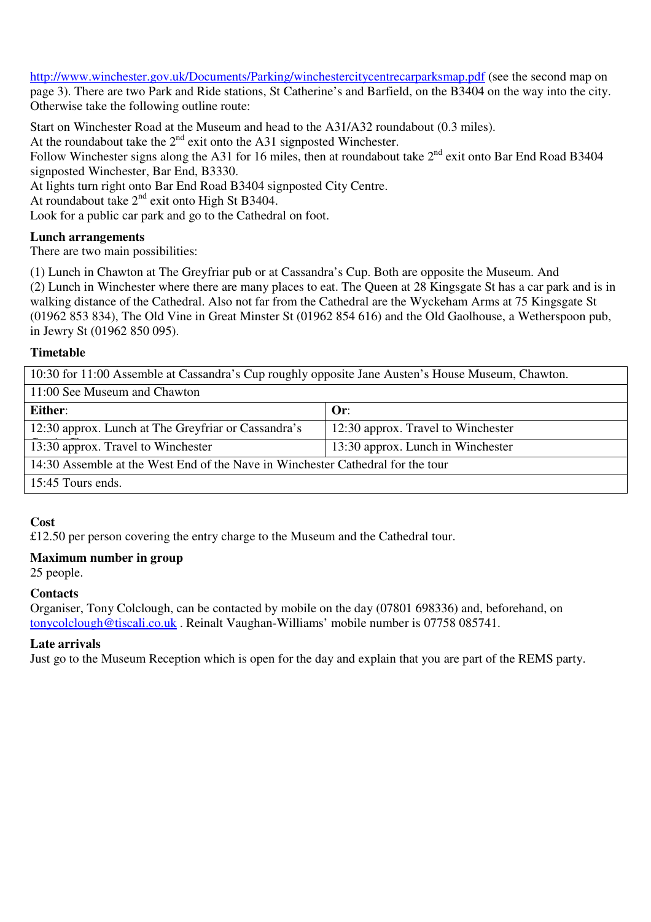http://www.winchester.gov.uk/Documents/Parking/winchestercitycentrecarparksmap.pdf (see the second map on page 3). There are two Park and Ride stations, St Catherine's and Barfield, on the B3404 on the way into the city. Otherwise take the following outline route:

Start on Winchester Road at the Museum and head to the A31/A32 roundabout (0.3 miles). At the roundabout take the 2<sup>nd</sup> exit onto the A31 signposted Winchester. Follow Winchester signs along the A31 for 16 miles, then at roundabout take  $2^{nd}$  exit onto Bar End Road B3404 signposted Winchester, Bar End, B3330. At lights turn right onto Bar End Road B3404 signposted City Centre. At roundabout take 2<sup>nd</sup> exit onto High St B3404.

Look for a public car park and go to the Cathedral on foot.

# **Lunch arrangements**

There are two main possibilities:

(1) Lunch in Chawton at The Greyfriar pub or at Cassandra's Cup. Both are opposite the Museum. And (2) Lunch in Winchester where there are many places to eat. The Queen at 28 Kingsgate St has a car park and is in walking distance of the Cathedral. Also not far from the Cathedral are the Wyckeham Arms at 75 Kingsgate St (01962 853 834), The Old Vine in Great Minster St (01962 854 616) and the Old Gaolhouse, a Wetherspoon pub, in Jewry St (01962 850 095).

# **Timetable**

10:30 for 11:00 Assemble at Cassandra's Cup roughly opposite Jane Austen's House Museum, Chawton.

| 11:00 See Museum and Chawton                                                    |                                    |
|---------------------------------------------------------------------------------|------------------------------------|
| Either:                                                                         | Or:                                |
| 12:30 approx. Lunch at The Greyfriar or Cassandra's                             | 12:30 approx. Travel to Winchester |
| 13:30 approx. Travel to Winchester                                              | 13:30 approx. Lunch in Winchester  |
| 14:30 Assemble at the West End of the Nave in Winchester Cathedral for the tour |                                    |
| 15:45 Tours ends.                                                               |                                    |

# **Cost**

£12.50 per person covering the entry charge to the Museum and the Cathedral tour.

# **Maximum number in group**

25 people.

# **Contacts**

Organiser, Tony Colclough, can be contacted by mobile on the day (07801 698336) and, beforehand, on tonycolclough@tiscali.co.uk . Reinalt Vaughan-Williams' mobile number is 07758 085741.

# **Late arrivals**

Just go to the Museum Reception which is open for the day and explain that you are part of the REMS party.